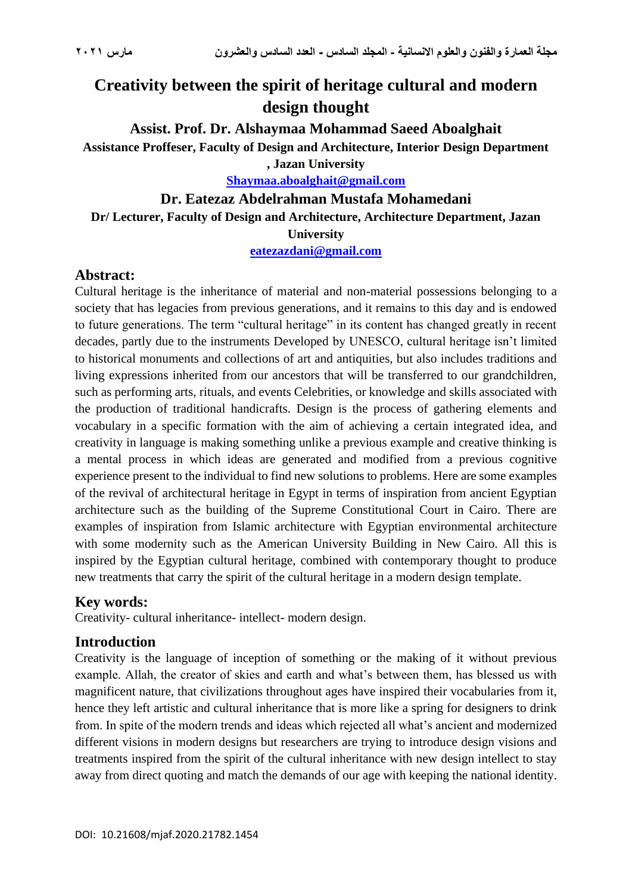# **Creativity between the spirit of heritage cultural and modern design thought**

**Assist. Prof. Dr. Alshaymaa Mohammad Saeed Aboalghait Assistance Proffeser, Faculty of Design and Architecture, Interior Design Department , Jazan University**

**[Shaymaa.aboalghait@gmail.com](mailto:Shaymaa.aboalghait@gmail.com)**

#### **Dr. Eatezaz Abdelrahman Mustafa Mohamedani**

#### **Dr/ Lecturer, Faculty of Design and Architecture, Architecture Department, Jazan**

**University**

**[eatezazdani@gmail.com](mailto:eatezazdani@gmail.com)**

#### **Abstract:**

Cultural heritage is the inheritance of material and non-material possessions belonging to a society that has legacies from previous generations, and it remains to this day and is endowed to future generations. The term "cultural heritage" in its content has changed greatly in recent decades, partly due to the instruments Developed by UNESCO, cultural heritage isn't limited to historical monuments and collections of art and antiquities, but also includes traditions and living expressions inherited from our ancestors that will be transferred to our grandchildren, such as performing arts, rituals, and events Celebrities, or knowledge and skills associated with the production of traditional handicrafts. Design is the process of gathering elements and vocabulary in a specific formation with the aim of achieving a certain integrated idea, and creativity in language is making something unlike a previous example and creative thinking is a mental process in which ideas are generated and modified from a previous cognitive experience present to the individual to find new solutions to problems. Here are some examples of the revival of architectural heritage in Egypt in terms of inspiration from ancient Egyptian architecture such as the building of the Supreme Constitutional Court in Cairo. There are examples of inspiration from Islamic architecture with Egyptian environmental architecture with some modernity such as the American University Building in New Cairo. All this is inspired by the Egyptian cultural heritage, combined with contemporary thought to produce new treatments that carry the spirit of the cultural heritage in a modern design template.

#### **Key words:**

Creativity- cultural inheritance- intellect- modern design.

#### **Introduction**

Creativity is the language of inception of something or the making of it without previous example. Allah, the creator of skies and earth and what's between them, has blessed us with magnificent nature, that civilizations throughout ages have inspired their vocabularies from it, hence they left artistic and cultural inheritance that is more like a spring for designers to drink from. In spite of the modern trends and ideas which rejected all what's ancient and modernized different visions in modern designs but researchers are trying to introduce design visions and treatments inspired from the spirit of the cultural inheritance with new design intellect to stay away from direct quoting and match the demands of our age with keeping the national identity.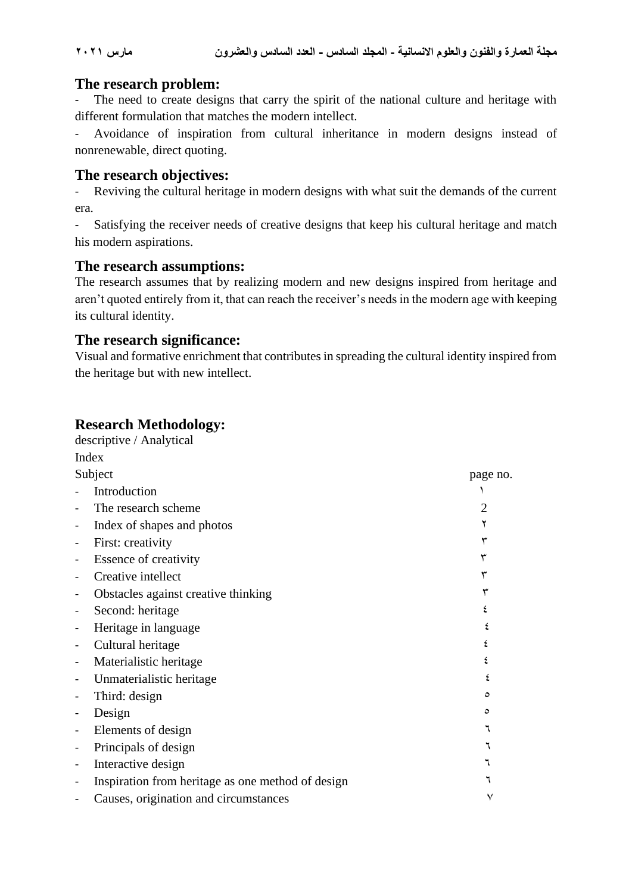### **The research problem:**

The need to create designs that carry the spirit of the national culture and heritage with different formulation that matches the modern intellect.

- Avoidance of inspiration from cultural inheritance in modern designs instead of nonrenewable, direct quoting.

#### **The research objectives:**

- Reviving the cultural heritage in modern designs with what suit the demands of the current era.

- Satisfying the receiver needs of creative designs that keep his cultural heritage and match his modern aspirations.

#### **The research assumptions:**

The research assumes that by realizing modern and new designs inspired from heritage and aren't quoted entirely from it, that can reach the receiver's needs in the modern age with keeping its cultural identity.

#### **The research significance:**

Visual and formative enrichment that contributes in spreading the cultural identity inspired from the heritage but with new intellect.

# **Research Methodology:**

|         | descriptive / Analytical                          |          |  |  |  |
|---------|---------------------------------------------------|----------|--|--|--|
|         | Index                                             |          |  |  |  |
| Subject |                                                   | page no. |  |  |  |
|         | Introduction                                      |          |  |  |  |
|         | The research scheme                               |          |  |  |  |
|         | Index of shapes and photos                        |          |  |  |  |
|         | First: creativity                                 |          |  |  |  |
|         | Essence of creativity                             |          |  |  |  |
|         | Creative intellect                                |          |  |  |  |
|         | Obstacles against creative thinking               |          |  |  |  |
|         | Second: heritage                                  |          |  |  |  |
|         | Heritage in language                              |          |  |  |  |
|         | Cultural heritage                                 |          |  |  |  |
|         | Materialistic heritage                            |          |  |  |  |
|         | Unmaterialistic heritage                          |          |  |  |  |
|         | Third: design                                     | ٥        |  |  |  |
|         | Design                                            | ٥        |  |  |  |
|         | Elements of design                                |          |  |  |  |
|         | Principals of design                              |          |  |  |  |
|         | Interactive design                                |          |  |  |  |
|         | Inspiration from heritage as one method of design |          |  |  |  |
|         | Causes, origination and circumstances             | ٧        |  |  |  |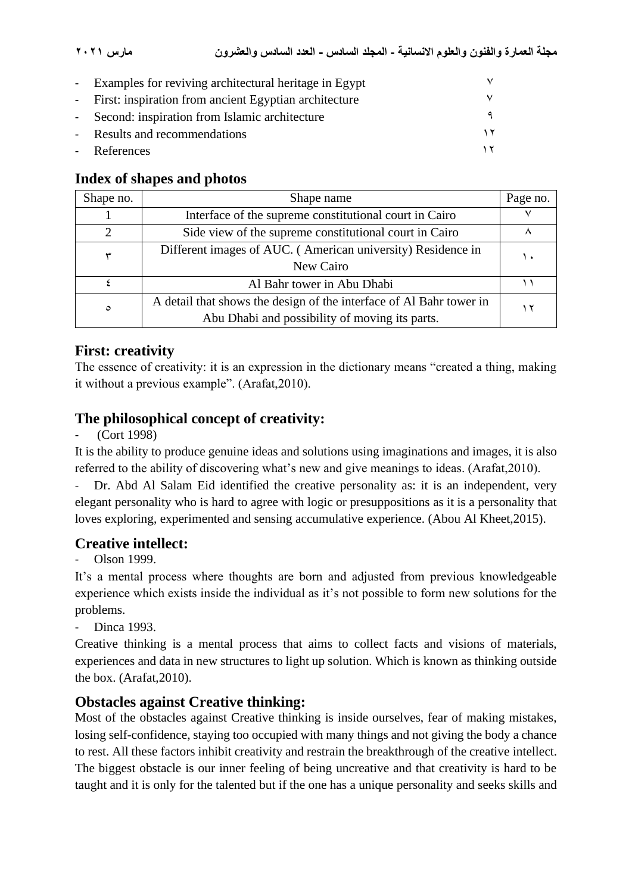| - Examples for reviving architectural heritage in Egypt |  |
|---------------------------------------------------------|--|
| - First: inspiration from ancient Egyptian architecture |  |
| - Second: inspiration from Islamic architecture         |  |
| - Results and recommendations                           |  |
| - References                                            |  |

# **Index of shapes and photos**

| Shape no.                   | Shape name                                                          | Page no. |
|-----------------------------|---------------------------------------------------------------------|----------|
|                             | Interface of the supreme constitutional court in Cairo              |          |
| $\mathcal{D}_{\mathcal{A}}$ | Side view of the supreme constitutional court in Cairo              |          |
|                             | Different images of AUC. (American university) Residence in         | ٠.       |
|                             | New Cairo                                                           |          |
|                             | Al Bahr tower in Abu Dhabi                                          |          |
| $\circ$                     | A detail that shows the design of the interface of Al Bahr tower in |          |
|                             | Abu Dhabi and possibility of moving its parts.                      |          |

# **First: creativity**

The essence of creativity: it is an expression in the dictionary means "created a thing, making it without a previous example". (Arafat,2010).

# **The philosophical concept of creativity:**

(Cort 1998)

It is the ability to produce genuine ideas and solutions using imaginations and images, it is also referred to the ability of discovering what's new and give meanings to ideas. (Arafat,2010).

Dr. Abd Al Salam Eid identified the creative personality as: it is an independent, very elegant personality who is hard to agree with logic or presuppositions as it is a personality that loves exploring, experimented and sensing accumulative experience. (Abou Al Kheet,2015).

# **Creative intellect:**

Olson 1999.

It's a mental process where thoughts are born and adjusted from previous knowledgeable experience which exists inside the individual as it's not possible to form new solutions for the problems.

Dinca 1993.

Creative thinking is a mental process that aims to collect facts and visions of materials, experiences and data in new structures to light up solution. Which is known as thinking outside the box. (Arafat,2010).

# **Obstacles against Creative thinking:**

Most of the obstacles against Creative thinking is inside ourselves, fear of making mistakes, losing self-confidence, staying too occupied with many things and not giving the body a chance to rest. All these factors inhibit creativity and restrain the breakthrough of the creative intellect. The biggest obstacle is our inner feeling of being uncreative and that creativity is hard to be taught and it is only for the talented but if the one has a unique personality and seeks skills and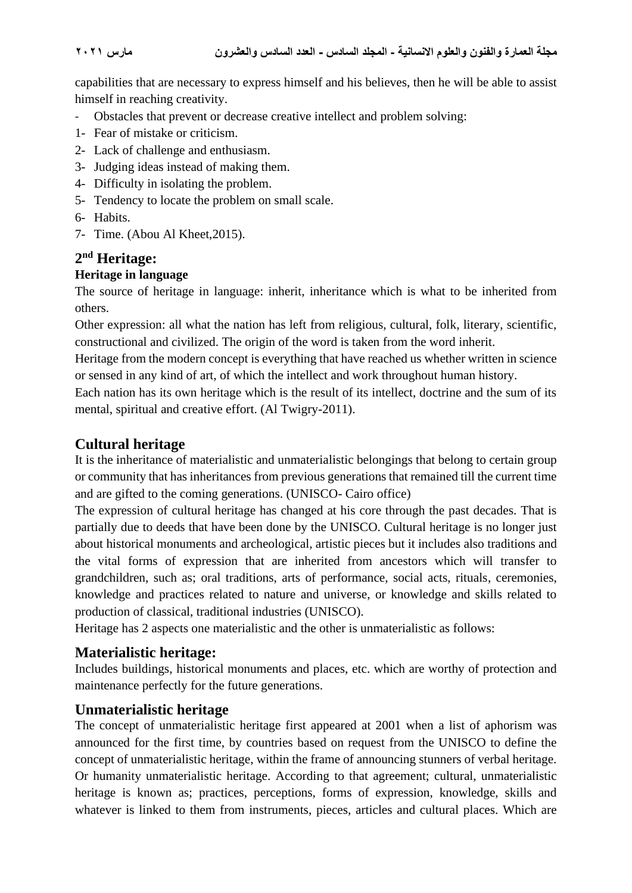capabilities that are necessary to express himself and his believes, then he will be able to assist himself in reaching creativity.

- Obstacles that prevent or decrease creative intellect and problem solving:
- 1- Fear of mistake or criticism.
- 2- Lack of challenge and enthusiasm.
- 3- Judging ideas instead of making them.
- 4- Difficulty in isolating the problem.
- 5- Tendency to locate the problem on small scale.
- 6- Habits.
- 7- Time. (Abou Al Kheet,2015).

# **2 nd Heritage:**

#### **Heritage in language**

The source of heritage in language: inherit, inheritance which is what to be inherited from others.

Other expression: all what the nation has left from religious, cultural, folk, literary, scientific, constructional and civilized. The origin of the word is taken from the word inherit.

Heritage from the modern concept is everything that have reached us whether written in science or sensed in any kind of art, of which the intellect and work throughout human history.

Each nation has its own heritage which is the result of its intellect, doctrine and the sum of its mental, spiritual and creative effort. (Al Twigry-2011).

### **Cultural heritage**

It is the inheritance of materialistic and unmaterialistic belongings that belong to certain group or community that has inheritances from previous generations that remained till the current time and are gifted to the coming generations. (UNISCO- Cairo office)

The expression of cultural heritage has changed at his core through the past decades. That is partially due to deeds that have been done by the UNISCO. Cultural heritage is no longer just about historical monuments and archeological, artistic pieces but it includes also traditions and the vital forms of expression that are inherited from ancestors which will transfer to grandchildren, such as; oral traditions, arts of performance, social acts, rituals, ceremonies, knowledge and practices related to nature and universe, or knowledge and skills related to production of classical, traditional industries (UNISCO).

Heritage has 2 aspects one materialistic and the other is unmaterialistic as follows:

#### **Materialistic heritage:**

Includes buildings, historical monuments and places, etc. which are worthy of protection and maintenance perfectly for the future generations.

#### **Unmaterialistic heritage**

The concept of unmaterialistic heritage first appeared at 2001 when a list of aphorism was announced for the first time, by countries based on request from the UNISCO to define the concept of unmaterialistic heritage, within the frame of announcing stunners of verbal heritage. Or humanity unmaterialistic heritage. According to that agreement; cultural, unmaterialistic heritage is known as; practices, perceptions, forms of expression, knowledge, skills and whatever is linked to them from instruments, pieces, articles and cultural places. Which are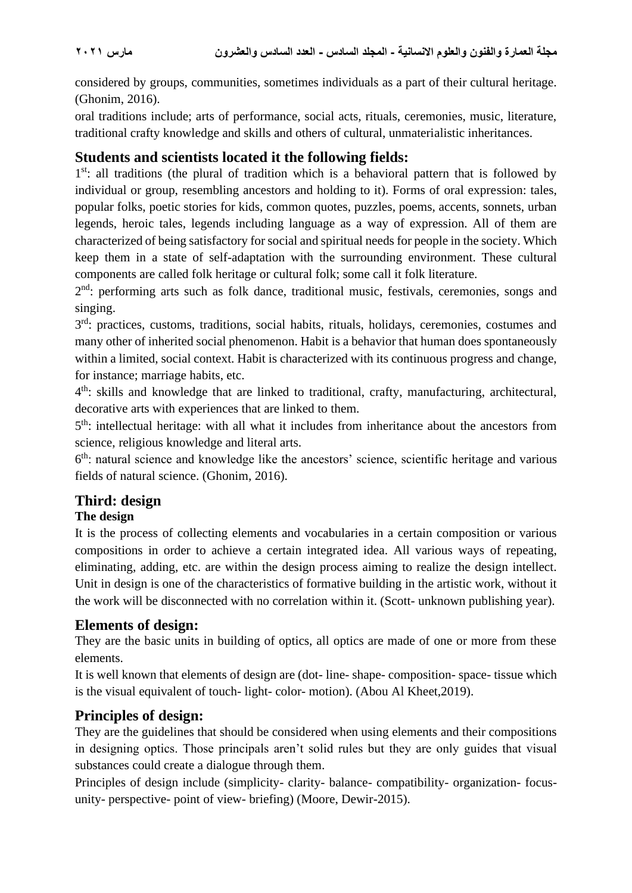considered by groups, communities, sometimes individuals as a part of their cultural heritage. (Ghonim, 2016).

oral traditions include; arts of performance, social acts, rituals, ceremonies, music, literature, traditional crafty knowledge and skills and others of cultural, unmaterialistic inheritances.

### **Students and scientists located it the following fields:**

1<sup>st</sup>: all traditions (the plural of tradition which is a behavioral pattern that is followed by individual or group, resembling ancestors and holding to it). Forms of oral expression: tales, popular folks, poetic stories for kids, common quotes, puzzles, poems, accents, sonnets, urban legends, heroic tales, legends including language as a way of expression. All of them are characterized of being satisfactory for social and spiritual needs for people in the society. Which keep them in a state of self-adaptation with the surrounding environment. These cultural components are called folk heritage or cultural folk; some call it folk literature.

2<sup>nd</sup>: performing arts such as folk dance, traditional music, festivals, ceremonies, songs and singing.

3<sup>rd</sup>: practices, customs, traditions, social habits, rituals, holidays, ceremonies, costumes and many other of inherited social phenomenon. Habit is a behavior that human does spontaneously within a limited, social context. Habit is characterized with its continuous progress and change, for instance; marriage habits, etc.

4<sup>th</sup>: skills and knowledge that are linked to traditional, crafty, manufacturing, architectural, decorative arts with experiences that are linked to them.

5<sup>th</sup>: intellectual heritage: with all what it includes from inheritance about the ancestors from science, religious knowledge and literal arts.

6<sup>th</sup>: natural science and knowledge like the ancestors' science, scientific heritage and various fields of natural science. (Ghonim, 2016).

# **Third: design**

#### **The design**

It is the process of collecting elements and vocabularies in a certain composition or various compositions in order to achieve a certain integrated idea. All various ways of repeating, eliminating, adding, etc. are within the design process aiming to realize the design intellect. Unit in design is one of the characteristics of formative building in the artistic work, without it the work will be disconnected with no correlation within it. (Scott- unknown publishing year).

#### **Elements of design:**

They are the basic units in building of optics, all optics are made of one or more from these elements.

It is well known that elements of design are (dot- line- shape- composition- space- tissue which is the visual equivalent of touch- light- color- motion). (Abou Al Kheet,2019).

#### **Principles of design:**

They are the guidelines that should be considered when using elements and their compositions in designing optics. Those principals aren't solid rules but they are only guides that visual substances could create a dialogue through them.

Principles of design include (simplicity- clarity- balance- compatibility- organization- focusunity- perspective- point of view- briefing) (Moore, Dewir-2015).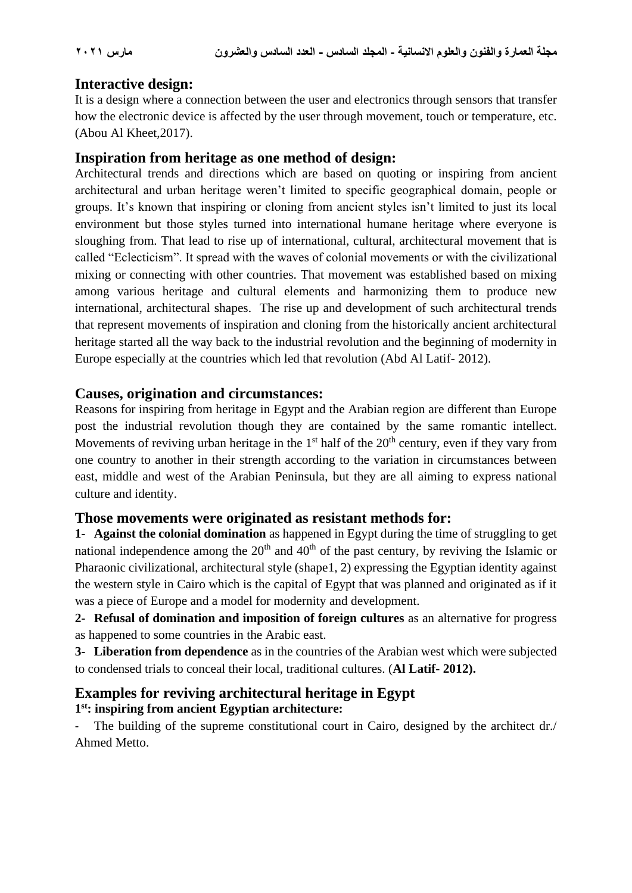### **Interactive design:**

It is a design where a connection between the user and electronics through sensors that transfer how the electronic device is affected by the user through movement, touch or temperature, etc. (Abou Al Kheet,2017).

#### **Inspiration from heritage as one method of design:**

Architectural trends and directions which are based on quoting or inspiring from ancient architectural and urban heritage weren't limited to specific geographical domain, people or groups. It's known that inspiring or cloning from ancient styles isn't limited to just its local environment but those styles turned into international humane heritage where everyone is sloughing from. That lead to rise up of international, cultural, architectural movement that is called "Eclecticism". It spread with the waves of colonial movements or with the civilizational mixing or connecting with other countries. That movement was established based on mixing among various heritage and cultural elements and harmonizing them to produce new international, architectural shapes. The rise up and development of such architectural trends that represent movements of inspiration and cloning from the historically ancient architectural heritage started all the way back to the industrial revolution and the beginning of modernity in Europe especially at the countries which led that revolution (Abd Al Latif- 2012).

#### **Causes, origination and circumstances:**

Reasons for inspiring from heritage in Egypt and the Arabian region are different than Europe post the industrial revolution though they are contained by the same romantic intellect. Movements of reviving urban heritage in the  $1<sup>st</sup>$  half of the  $20<sup>th</sup>$  century, even if they vary from one country to another in their strength according to the variation in circumstances between east, middle and west of the Arabian Peninsula, but they are all aiming to express national culture and identity.

#### **Those movements were originated as resistant methods for:**

**1- Against the colonial domination** as happened in Egypt during the time of struggling to get national independence among the  $20<sup>th</sup>$  and  $40<sup>th</sup>$  of the past century, by reviving the Islamic or Pharaonic civilizational, architectural style (shape1, 2) expressing the Egyptian identity against the western style in Cairo which is the capital of Egypt that was planned and originated as if it was a piece of Europe and a model for modernity and development.

**2- Refusal of domination and imposition of foreign cultures** as an alternative for progress as happened to some countries in the Arabic east.

**3- Liberation from dependence** as in the countries of the Arabian west which were subjected to condensed trials to conceal their local, traditional cultures. (**Al Latif- 2012).**

# **Examples for reviving architectural heritage in Egypt**

#### **1 st: inspiring from ancient Egyptian architecture:**

The building of the supreme constitutional court in Cairo, designed by the architect dr./ Ahmed Metto.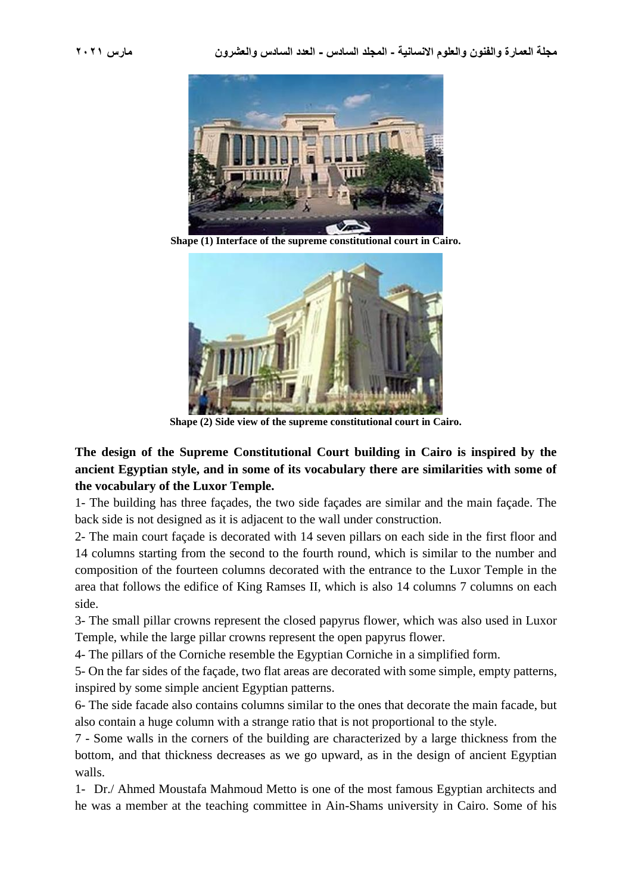

**Shape (1) Interface of the supreme constitutional court in Cairo.**



**Shape (2) Side view of the supreme constitutional court in Cairo.**

**The design of the Supreme Constitutional Court building in Cairo is inspired by the ancient Egyptian style, and in some of its vocabulary there are similarities with some of the vocabulary of the Luxor Temple.**

1- The building has three façades, the two side façades are similar and the main façade. The back side is not designed as it is adjacent to the wall under construction.

2- The main court façade is decorated with 14 seven pillars on each side in the first floor and 14 columns starting from the second to the fourth round, which is similar to the number and composition of the fourteen columns decorated with the entrance to the Luxor Temple in the area that follows the edifice of King Ramses II, which is also 14 columns 7 columns on each side.

3- The small pillar crowns represent the closed papyrus flower, which was also used in Luxor Temple, while the large pillar crowns represent the open papyrus flower.

4- The pillars of the Corniche resemble the Egyptian Corniche in a simplified form.

5- On the far sides of the façade, two flat areas are decorated with some simple, empty patterns, inspired by some simple ancient Egyptian patterns.

6- The side facade also contains columns similar to the ones that decorate the main facade, but also contain a huge column with a strange ratio that is not proportional to the style.

7 - Some walls in the corners of the building are characterized by a large thickness from the bottom, and that thickness decreases as we go upward, as in the design of ancient Egyptian walls.

1- Dr./ Ahmed Moustafa Mahmoud Metto is one of the most famous Egyptian architects and he was a member at the teaching committee in Ain-Shams university in Cairo. Some of his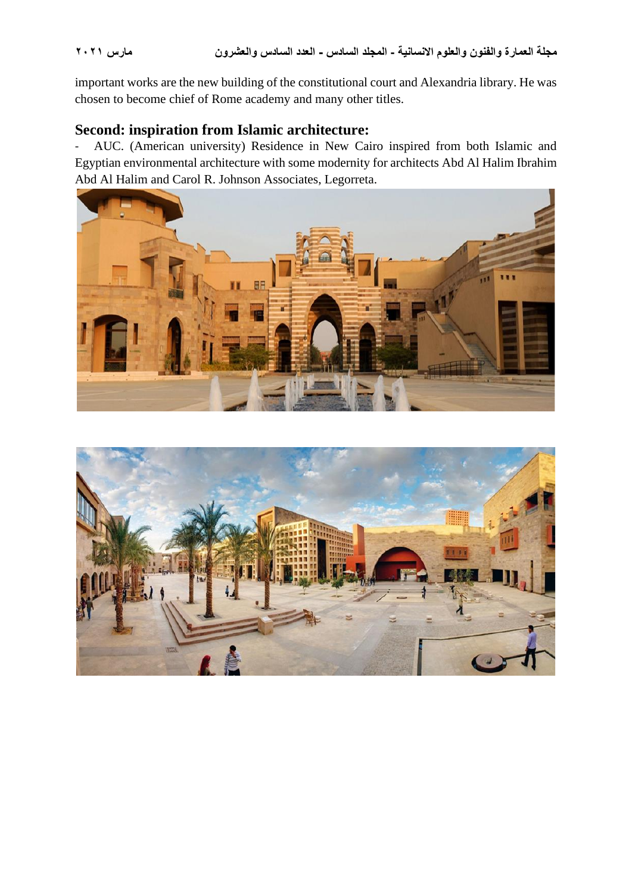important works are the new building of the constitutional court and Alexandria library. He was chosen to become chief of Rome academy and many other titles.

### **Second: inspiration from Islamic architecture:**

- AUC. (American university) Residence in New Cairo inspired from both Islamic and Egyptian environmental architecture with some modernity for architects Abd Al Halim Ibrahim Abd Al Halim and Carol R. Johnson Associates, Legorreta.



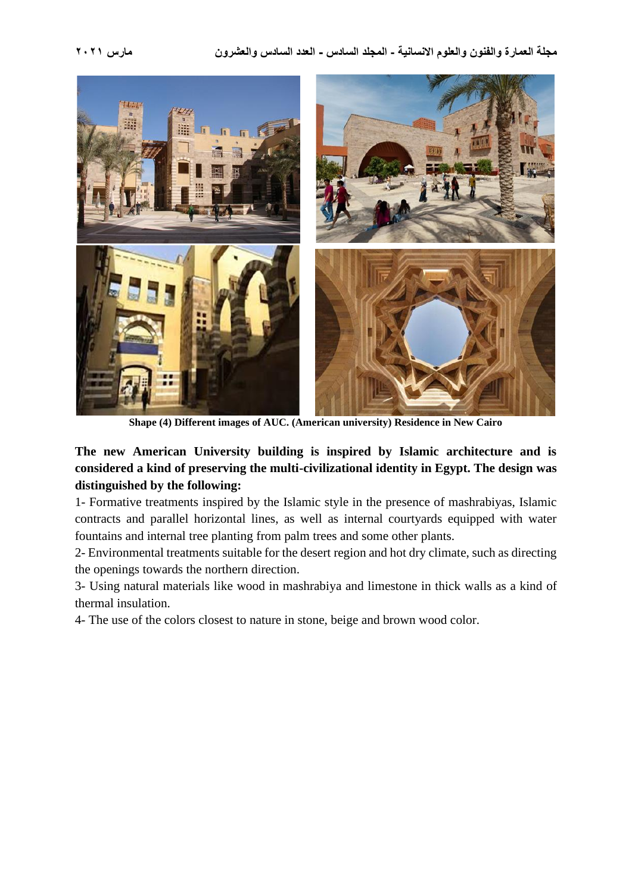

**Shape (4) Different images of AUC. (American university) Residence in New Cairo**

#### **The new American University building is inspired by Islamic architecture and is considered a kind of preserving the multi-civilizational identity in Egypt. The design was distinguished by the following:**

1- Formative treatments inspired by the Islamic style in the presence of mashrabiyas, Islamic contracts and parallel horizontal lines, as well as internal courtyards equipped with water fountains and internal tree planting from palm trees and some other plants.

2- Environmental treatments suitable for the desert region and hot dry climate, such as directing the openings towards the northern direction.

3- Using natural materials like wood in mashrabiya and limestone in thick walls as a kind of thermal insulation.

4- The use of the colors closest to nature in stone, beige and brown wood color.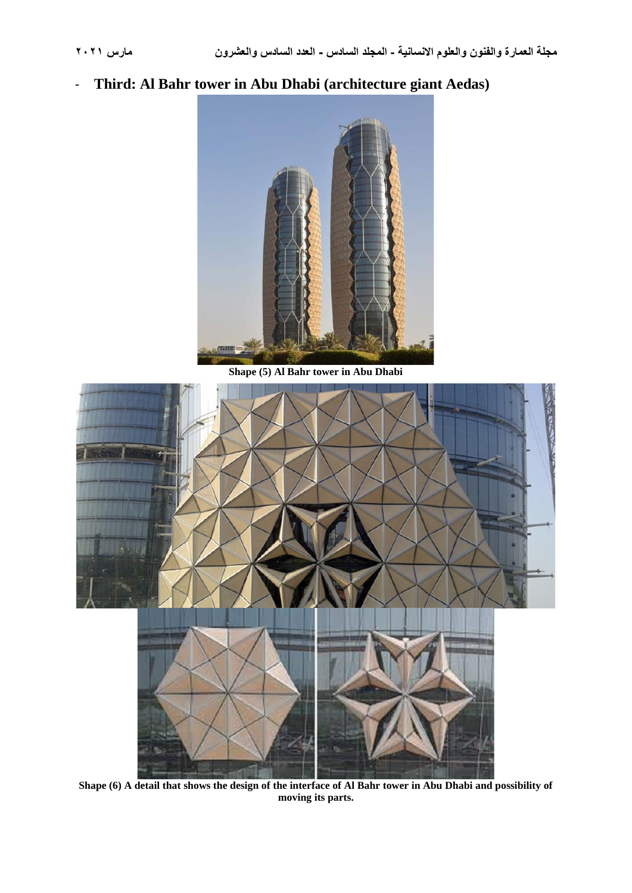- **Third: Al Bahr tower in Abu Dhabi (architecture giant Aedas)**



**Shape (5) Al Bahr tower in Abu Dhabi**



**Shape (6) A detail that shows the design of the interface of Al Bahr tower in Abu Dhabi and possibility of moving its parts.**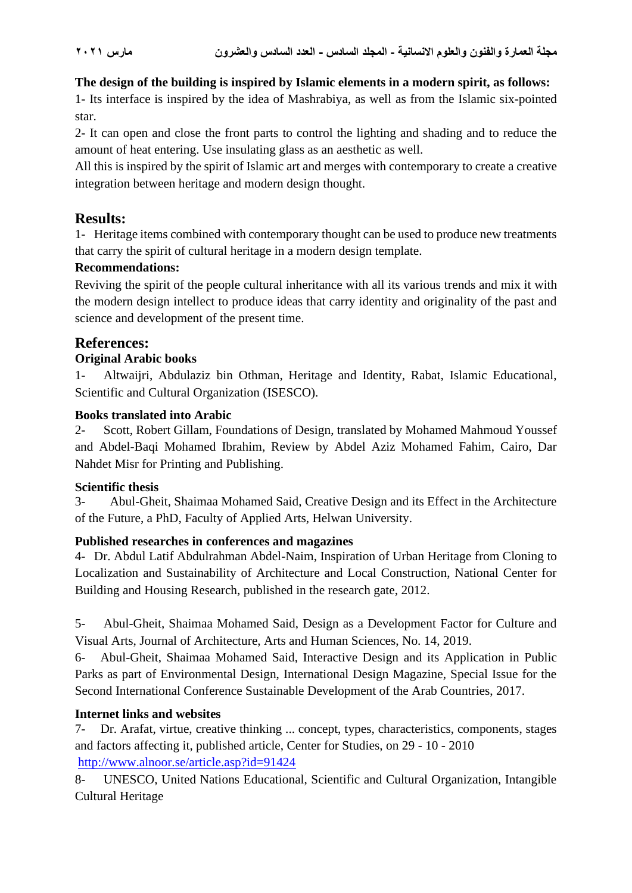#### **The design of the building is inspired by Islamic elements in a modern spirit, as follows:**

1- Its interface is inspired by the idea of Mashrabiya, as well as from the Islamic six-pointed star.

2- It can open and close the front parts to control the lighting and shading and to reduce the amount of heat entering. Use insulating glass as an aesthetic as well.

All this is inspired by the spirit of Islamic art and merges with contemporary to create a creative integration between heritage and modern design thought.

### **Results:**

1- Heritage items combined with contemporary thought can be used to produce new treatments that carry the spirit of cultural heritage in a modern design template.

#### **Recommendations:**

Reviving the spirit of the people cultural inheritance with all its various trends and mix it with the modern design intellect to produce ideas that carry identity and originality of the past and science and development of the present time.

### **References:**

#### **Original Arabic books**

1- Altwaijri, Abdulaziz bin Othman, Heritage and Identity, Rabat, Islamic Educational, Scientific and Cultural Organization (ISESCO).

#### **Books translated into Arabic**

2- Scott, Robert Gillam, Foundations of Design, translated by Mohamed Mahmoud Youssef and Abdel-Baqi Mohamed Ibrahim, Review by Abdel Aziz Mohamed Fahim, Cairo, Dar Nahdet Misr for Printing and Publishing.

#### **Scientific thesis**

3- Abul-Gheit, Shaimaa Mohamed Said, Creative Design and its Effect in the Architecture of the Future, a PhD, Faculty of Applied Arts, Helwan University.

#### **Published researches in conferences and magazines**

4- Dr. Abdul Latif Abdulrahman Abdel-Naim, Inspiration of Urban Heritage from Cloning to Localization and Sustainability of Architecture and Local Construction, National Center for Building and Housing Research, published in the research gate, 2012.

5- Abul-Gheit, Shaimaa Mohamed Said, Design as a Development Factor for Culture and Visual Arts, Journal of Architecture, Arts and Human Sciences, No. 14, 2019.

6- Abul-Gheit, Shaimaa Mohamed Said, Interactive Design and its Application in Public Parks as part of Environmental Design, International Design Magazine, Special Issue for the Second International Conference Sustainable Development of the Arab Countries, 2017.

#### **Internet links and websites**

7-Dr. Arafat, virtue, creative thinking ... concept, types, characteristics, components, stages and factors affecting it, published article, Center for Studies, on 29 - 10 - 2010 <http://www.alnoor.se/article.asp?id=91424>

8- UNESCO, United Nations Educational, Scientific and Cultural Organization, Intangible Cultural Heritage